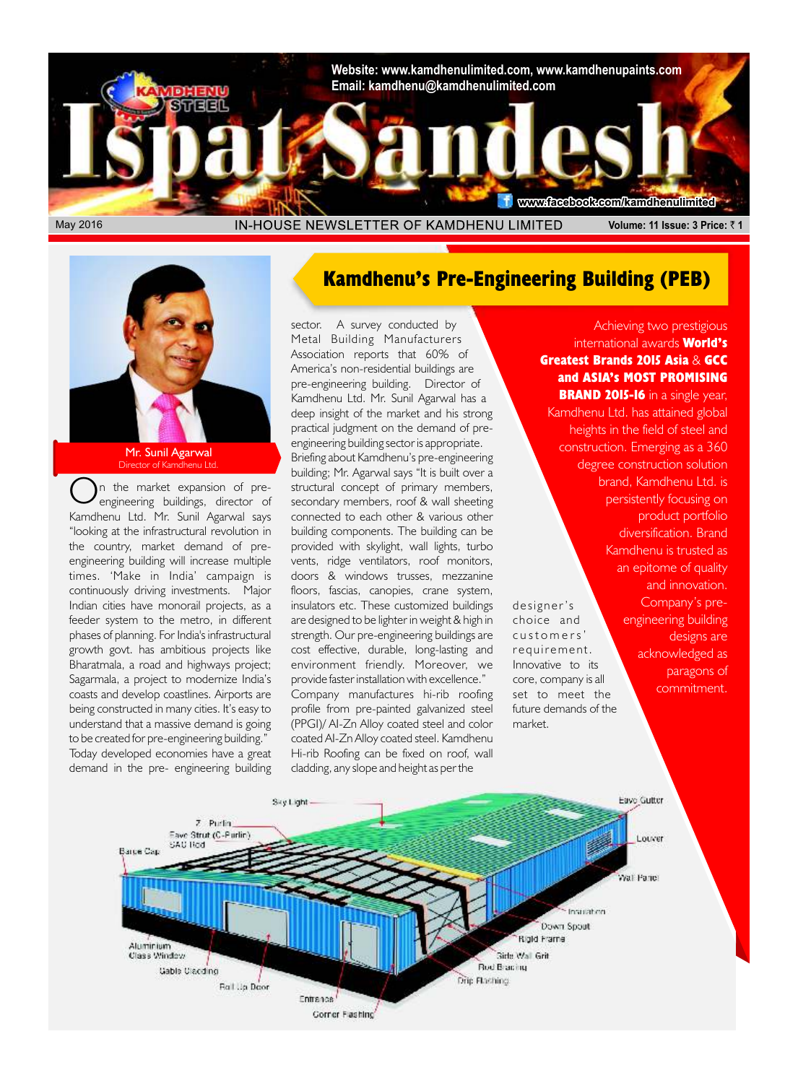

**Mr. Sunil Agarwal**<br>Director of Kamdhenu Ltd Director of Kam

*Kamdhenu Ltd. Mr. Sunil Agarwal says connected to each other & various other "looking at the infrastructural revolution in building components. The building can be the country, market demand of pre- provided with skylight, wall lights, turbo times. 'Make in India' campaign is doors & windows trusses, mezzanine continuously driving investments. Major floors, fascias, canopies, crane system, to be created for pre-engineering building." coated AI-Zn Alloy coated steel. Kamdhenu Today developed economies have a great Hi-rib Roofing can be fixed on roof, wall demand in the pre- engineering building cladding, any slope and height as per the* 

#### **Kamdhenu's Pre-Engineering Building (PEB)**

*sector. A survey conducted by Metal Building Manufacturers Association reports that 60% of America's non-residential buildings are pre-engineering building. Director of Kamdhenu Ltd. Mr. Sunil Agarwal has a deep insight of the market and his strong practical judgment on the demand of preengineering building sector is appropriate. Briefing about Kamdhenu's pre-engineering building; Mr. Agarwal says "It is built over a On the market expansion of pre- structural concept of primary members, engineering buildings, director of secondary members, roof & wall sheeting*  vents, ridge ventilators, roof monitors, *Indian cities have monorail projects, as a insulators etc. These customized buildings de si gne r's feeder system to the metro, in different are designed to be lighter in weight & high in choice and phases of planning. For India's infrastructural strength. Our pre-engineering buildings are c u s t o m e r s ' growth govt. has ambitious projects like cost effective, durable, long-lasting and r e q u ir eme n t. Bharatmala, a road and highways project; environment friendly. Moreover, we Innovative to its Sagarmala, a project to modernize India's provide faster installation with excellence." core, company is all coasts and develop coastlines. Airports are Company manufactures hi-rib roofing set to meet the profile from pre-painted galvanized steel understand that a massive demand is going (PPGI)/ AI-Zn Alloy coated steel and color market.*

*Achieving two prestigious international awards* **World's Greatest Brands 2015 Asia** *&* **GCC and ASIA's MOST PROMISING BRAND 2015-16** *in a single year, Kamdhenu Ltd. has attained global heights in the field of steel and construction. Emerging as a 360 degree construction solution brand, Kamdhenu Ltd. is persistently focusing on product portfolio diversification. Brand Kamdhenu is trusted as an epitome of quality and innovation. Company's preengineering building designs are acknowledged as paragons of commitment.* 

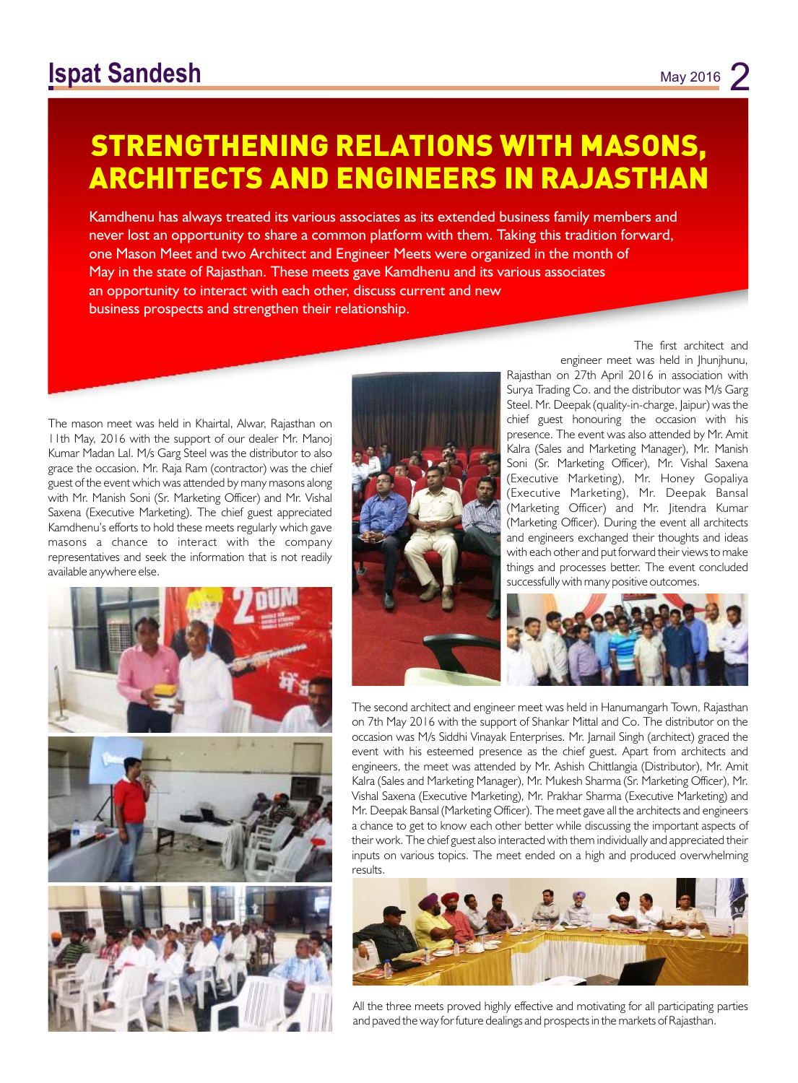### **STRENGTHENING RELATIONS WITH MASONS, ARCHITECTS AND ENGINEERS IN RAJASTHAN**

Kamdhenu has always treated its various associates as its extended business family members and never lost an opportunity to share a common platform with them. Taking this tradition forward, one Mason Meet and two Architect and Engineer Meets were organized in the month of May in the state of Rajasthan. These meets gave Kamdhenu and its various associates an opportunity to interact with each other, discuss current and new business prospects and strengthen their relationship.

*The mason meet was held in Khairtal, Alwar, Rajasthan on 11th May, 2016 with the support of our dealer Mr. Manoj Kumar Madan Lal. M/s Garg Steel was the distributor to also grace the occasion. Mr. Raja Ram (contractor) was the chief guest of the event which was attended by many masons along*  with Mr. Manish Soni (Sr. Marketing Officer) and Mr. Vishal *Saxena (Executive Marketing). The chief guest appreciated Kamdhenu's efforts to hold these meets regularly which gave masons a chance to interact with the company representatives and seek the information that is not readily available anywhere else.* 





*The first architect and engineer meet was held in Jhunjhunu,* 

*Rajasthan on 27th April 2016 in association with Surya Trading Co. and the distributor was M/s Garg Steel. Mr. Deepak (quality-in-charge, Jaipur) was the chief guest honouring the occasion with his presence. The event was also attended by Mr. Amit Kalra (Sales and Marketing Manager), Mr. Manish Soni (Sr. Marketing Officer), Mr. Vishal Saxena (Executive Marketing), Mr. Honey Gopaliya (Executive Marketing), Mr. Deepak Bansal (Marketing Officer) and Mr. Jitendra Kumar (Marketing Officer). During the event all architects and engineers exchanged their thoughts and ideas with each other and put forward their views to make things and processes better. The event concluded successfully with many positive outcomes.* 



*The second architect and engineer meet was held in Hanumangarh Town, Rajasthan on 7th May 2016 with the support of Shankar Mittal and Co. The distributor on the occasion was M/s Siddhi Vinayak Enterprises. Mr. Jarnail Singh (architect) graced the event with his esteemed presence as the chief guest. Apart from architects and engineers, the meet was attended by Mr. Ashish Chittlangia (Distributor), Mr. Amit Kalra (Sales and Marketing Manager), Mr. Mukesh Sharma (Sr. Marketing Officer), Mr. Vishal Saxena (Executive Marketing), Mr. Prakhar Sharma (Executive Marketing) and Mr. Deepak Bansal (Marketing Officer). The meet gave all the architects and engineers a chance to get to know each other better while discussing the important aspects of their work. The chief guest also interacted with them individually and appreciated their*  inputs on various topics. The meet ended on a high and produced overwhelming *results.* 



*All the three meets proved highly effective and motivating for all participating parties and paved the way for future dealings and prospects in the markets of Rajasthan.*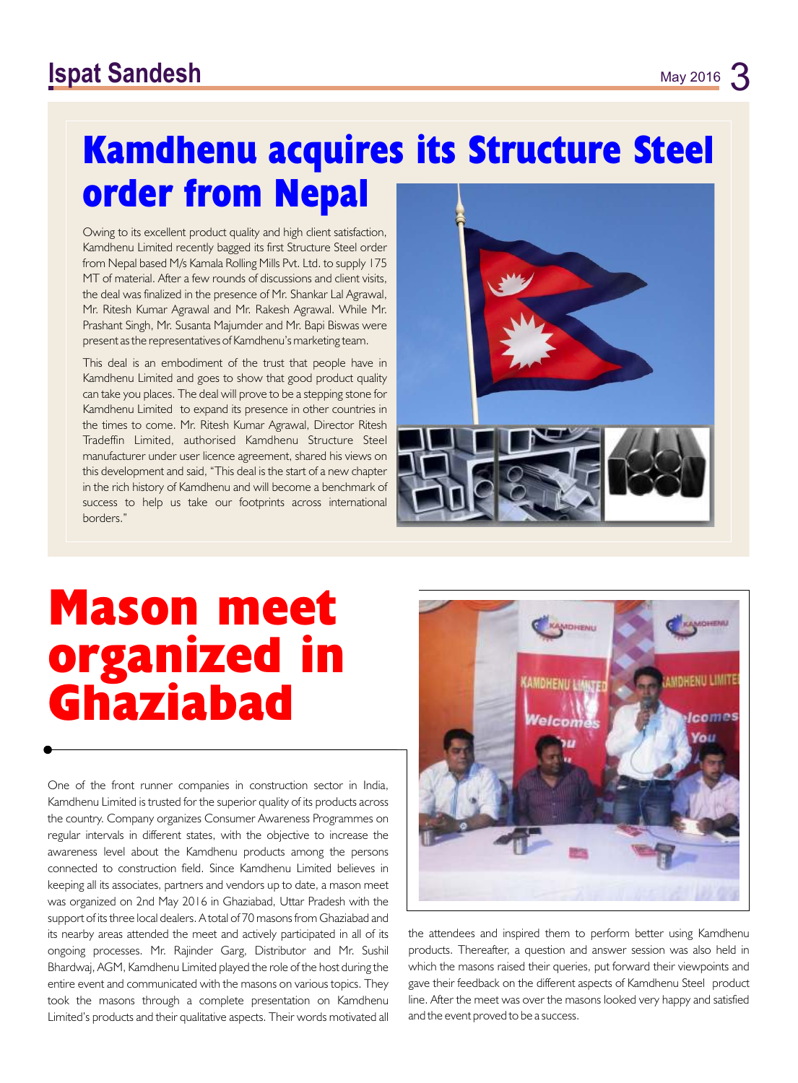### **Ispat Sandesh** May 2016 3

## **Kamdhenu acquires its Structure Steel order from Nepal**

*Owing to its excellent product quality and high client satisfaction, Kamdhenu Limited recently bagged its first Structure Steel order from Nepal based M/s Kamala Rolling Mills Pvt. Ltd. to supply 175 MT of material. After a few rounds of discussions and client visits, the deal was finalized in the presence of Mr. Shankar Lal Agrawal, Mr. Ritesh Kumar Agrawal and Mr. Rakesh Agrawal. While Mr. Prashant Singh, Mr. Susanta Majumder and Mr. Bapi Biswas were present as the representatives of Kamdhenu's marketing team.* 

*This deal is an embodiment of the trust that people have in Kamdhenu Limited and goes to show that good product quality can take you places. The deal will prove to be a stepping stone for Kamdhenu Limited to expand its presence in other countries in the times to come. Mr. Ritesh Kumar Agrawal, Director Ritesh Tradeffin Limited, authorised Kamdhenu Structure Steel manufacturer under user licence agreement, shared his views on this development and said, "This deal is the start of a new chapter in the rich history of Kamdhenu and will become a benchmark of success to help us take our footprints across international borders."*



# **Mason meet organized in Ghaziabad**

*One of the front runner companies in construction sector in India, Kamdhenu Limited is trusted for the superior quality of its products across the country. Company organizes Consumer Awareness Programmes on regular intervals in different states, with the objective to increase the awareness level about the Kamdhenu products among the persons connected to construction field. Since Kamdhenu Limited believes in keeping all its associates, partners and vendors up to date, a mason meet was organized on 2nd May 2016 in Ghaziabad, Uttar Pradesh with the support of its three local dealers. A total of 70 masons from Ghaziabad and*  its nearby areas attended the meet and actively participated in all of its the attendees and inspired them to perform better using Kamdhenu *ongoing processes. Mr. Rajinder Garg, Distributor and Mr. Sushil products. Thereafter, a question and answer session was also held in Bhardwaj, AGM, Kamdhenu Limited played the role of the host during the which the masons raised their queries, put forward their viewpoints and entire event and communicated with the masons on various topics. They gave their feedback on the different aspects of Kamdhenu Steel product*  took the masons through a complete presentation on Kamdhenu line. After the meet was over the masons looked very happy and satisfied *Limited's products and their qualitative aspects. Their words motivated all* and the event proved to be a success.